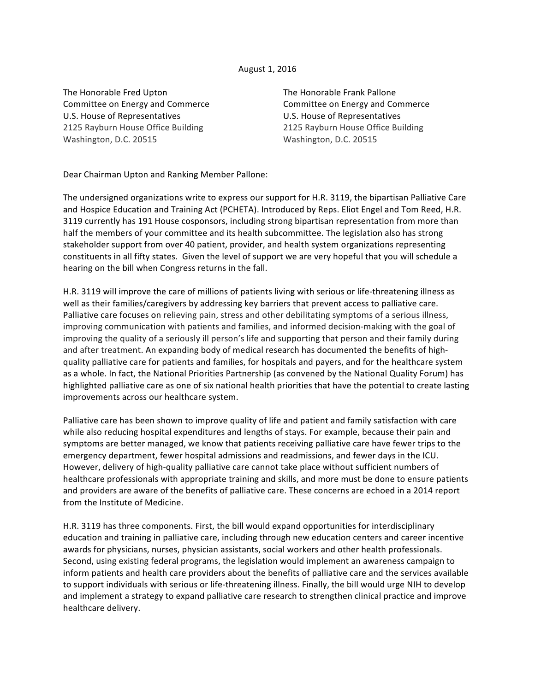## August 1, 2016

The Honorable Fred Upton Committee on Energy and Commerce U.S. House of Representatives 2125 Rayburn House Office Building Washington, D.C. 20515

The Honorable Frank Pallone Committee on Energy and Commerce U.S. House of Representatives 2125 Rayburn House Office Building Washington, D.C. 20515

Dear Chairman Upton and Ranking Member Pallone:

The undersigned organizations write to express our support for H.R. 3119, the bipartisan Palliative Care and Hospice Education and Training Act (PCHETA). Introduced by Reps. Eliot Engel and Tom Reed, H.R. 3119 currently has 191 House cosponsors, including strong bipartisan representation from more than half the members of your committee and its health subcommittee. The legislation also has strong stakeholder support from over 40 patient, provider, and health system organizations representing constituents in all fifty states. Given the level of support we are very hopeful that you will schedule a hearing on the bill when Congress returns in the fall.

H.R. 3119 will improve the care of millions of patients living with serious or life-threatening illness as well as their families/caregivers by addressing key barriers that prevent access to palliative care. Palliative care focuses on relieving pain, stress and other debilitating symptoms of a serious illness, improving communication with patients and families, and informed decision-making with the goal of improving the quality of a seriously ill person's life and supporting that person and their family during and after treatment. An expanding body of medical research has documented the benefits of highquality palliative care for patients and families, for hospitals and payers, and for the healthcare system as a whole. In fact, the National Priorities Partnership (as convened by the National Quality Forum) has highlighted palliative care as one of six national health priorities that have the potential to create lasting improvements across our healthcare system.

Palliative care has been shown to improve quality of life and patient and family satisfaction with care while also reducing hospital expenditures and lengths of stays. For example, because their pain and symptoms are better managed, we know that patients receiving palliative care have fewer trips to the emergency department, fewer hospital admissions and readmissions, and fewer days in the ICU. However, delivery of high-quality palliative care cannot take place without sufficient numbers of healthcare professionals with appropriate training and skills, and more must be done to ensure patients and providers are aware of the benefits of palliative care. These concerns are echoed in a 2014 report from the Institute of Medicine.

H.R. 3119 has three components. First, the bill would expand opportunities for interdisciplinary education and training in palliative care, including through new education centers and career incentive awards for physicians, nurses, physician assistants, social workers and other health professionals. Second, using existing federal programs, the legislation would implement an awareness campaign to inform patients and health care providers about the benefits of palliative care and the services available to support individuals with serious or life-threatening illness. Finally, the bill would urge NIH to develop and implement a strategy to expand palliative care research to strengthen clinical practice and improve healthcare delivery.